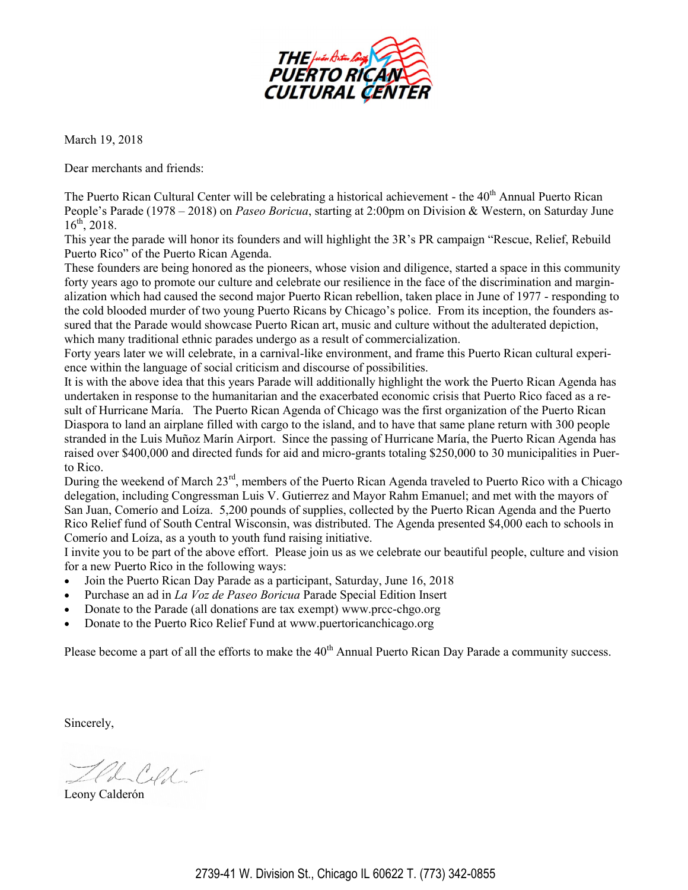

March 19, 2018

Dear merchants and friends:

The Puerto Rican Cultural Center will be celebrating a historical achievement - the 40<sup>th</sup> Annual Puerto Rican People's Parade (1978 – 2018) on *Paseo Boricua*, starting at 2:00pm on Division & Western, on Saturday June  $16^{th}$ , 2018.

This year the parade will honor its founders and will highlight the 3R's PR campaign "Rescue, Relief, Rebuild Puerto Rico" of the Puerto Rican Agenda.

These founders are being honored as the pioneers, whose vision and diligence, started a space in this community forty years ago to promote our culture and celebrate our resilience in the face of the discrimination and marginalization which had caused the second major Puerto Rican rebellion, taken place in June of 1977 - responding to the cold blooded murder of two young Puerto Ricans by Chicago's police. From its inception, the founders assured that the Parade would showcase Puerto Rican art, music and culture without the adulterated depiction, which many traditional ethnic parades undergo as a result of commercialization.

Forty years later we will celebrate, in a carnival-like environment, and frame this Puerto Rican cultural experience within the language of social criticism and discourse of possibilities.

It is with the above idea that this years Parade will additionally highlight the work the Puerto Rican Agenda has undertaken in response to the humanitarian and the exacerbated economic crisis that Puerto Rico faced as a result of Hurricane María. The Puerto Rican Agenda of Chicago was the first organization of the Puerto Rican Diaspora to land an airplane filled with cargo to the island, and to have that same plane return with 300 people stranded in the Luis Muñoz Marín Airport. Since the passing of Hurricane María, the Puerto Rican Agenda has raised over \$400,000 and directed funds for aid and micro-grants totaling \$250,000 to 30 municipalities in Puerto Rico.

During the weekend of March 23<sup>rd</sup>, members of the Puerto Rican Agenda traveled to Puerto Rico with a Chicago delegation, including Congressman Luis V. Gutierrez and Mayor Rahm Emanuel; and met with the mayors of San Juan, Comerío and Loíza. 5,200 pounds of supplies, collected by the Puerto Rican Agenda and the Puerto Rico Relief fund of South Central Wisconsin, was distributed. The Agenda presented \$4,000 each to schools in Comerío and Loíza, as a youth to youth fund raising initiative.

I invite you to be part of the above effort. Please join us as we celebrate our beautiful people, culture and vision for a new Puerto Rico in the following ways:

- Join the Puerto Rican Day Parade as a participant, Saturday, June 16, 2018
- Purchase an ad in *La Voz de Paseo Boricua* Parade Special Edition Insert
- Donate to the Parade (all donations are tax exempt) [www.prcc](http://www.prcc-chgo.org)-chgo.org
- Donate to the Puerto Rico Relief Fund at www.puertoricanchicago.org

Please become a part of all the efforts to make the 40<sup>th</sup> Annual Puerto Rican Day Parade a community success.

Sincerely,

H Ceft

Leony Calderón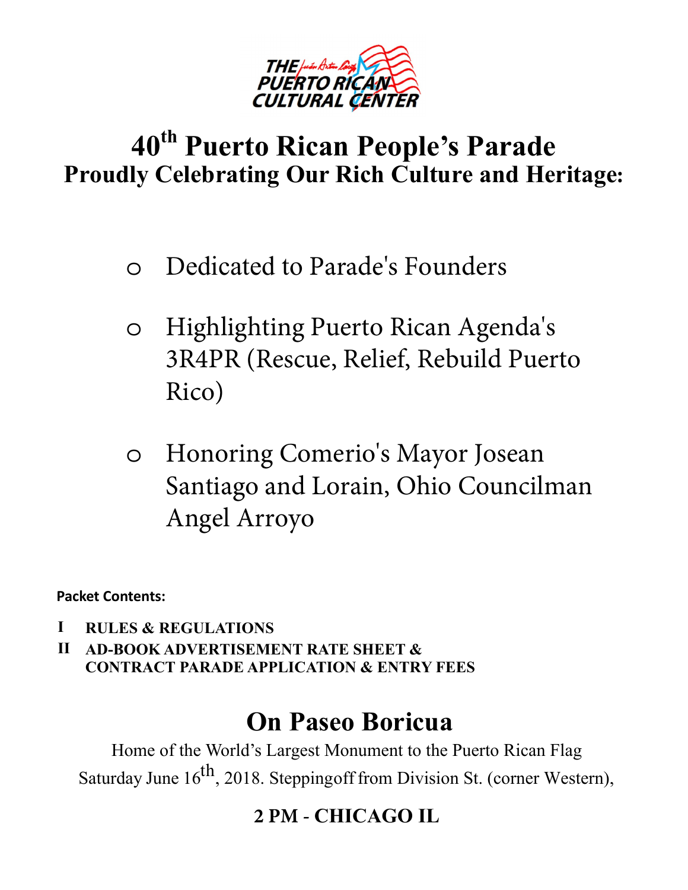

## **40th Puerto Rican People's Parade Proudly Celebrating Our Rich Culture and Heritage:**

- o Dedicated to Parade's Founders
- o Highlighting Puerto Rican Agenda's 3R4PR (Rescue, Relief, Rebuild Puerto Rico)
- o Honoring Comerio's Mayor Josean Santiago and Lorain, Ohio Councilman Angel Arroyo

**Packet Contents:** 

- **I RULES & REGULATIONS**
- **II AD-BOOK ADVERTISEMENT RATE SHEET & CONTRACT PARADE APPLICATION & ENTRY FEES**

# **On Paseo Boricua**

Home of the World's Largest Monument to the Puerto Rican Flag Saturday June  $16^{th}$ , 2018. Stepping of from Division St. (corner Western),

## **2 PM - CHICAGO IL**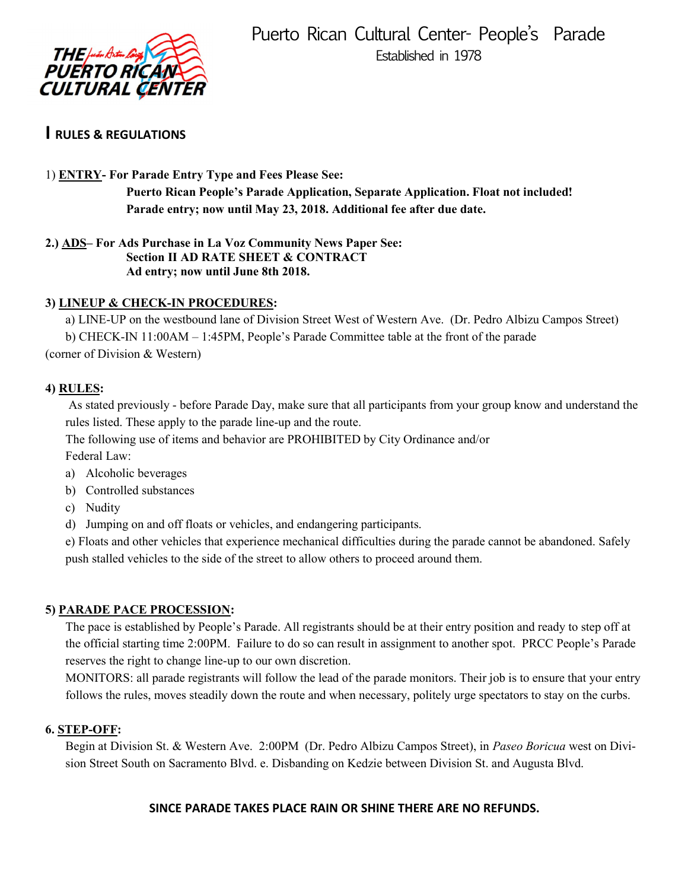

#### **I RULES & REGULATIONS**

#### 1) **ENTRY- For Parade Entry Type and Fees Please See:**

**Puerto Rican People's Parade Application, Separate Application. Float not included! Parade entry; now until May 23, 2018. Additional fee after due date.**

**2.) ADS– For Ads Purchase in La Voz Community News Paper See: Section II AD RATE SHEET & CONTRACT Ad entry; now until June 8th 2018.** 

#### **3) LINEUP & CHECK-IN PROCEDURES:**

a) LINE-UP on the westbound lane of Division Street West of Western Ave. (Dr. Pedro Albizu Campos Street) b) CHECK-IN 11:00AM – 1:45PM, People's Parade Committee table at the front of the parade (corner of Division & Western)

#### **4) RULES:**

As stated previously - before Parade Day, make sure that all participants from your group know and understand the rules listed. These apply to the parade line-up and the route.

The following use of items and behavior are PROHIBITED by City Ordinance and/or

Federal Law:

- a) Alcoholic beverages
- b) Controlled substances
- c) Nudity
- d) Jumping on and off floats or vehicles, and endangering participants.

e) Floats and other vehicles that experience mechanical difficulties during the parade cannot be abandoned. Safely push stalled vehicles to the side of the street to allow others to proceed around them.

#### **5) PARADE PACE PROCESSION:**

The pace is established by People's Parade. All registrants should be at their entry position and ready to step off at the official starting time 2:00PM. Failure to do so can result in assignment to another spot. PRCC People's Parade reserves the right to change line-up to our own discretion.

MONITORS: all parade registrants will follow the lead of the parade monitors. Their job is to ensure that your entry follows the rules, moves steadily down the route and when necessary, politely urge spectators to stay on the curbs.

#### **6. STEP-OFF:**

Begin at Division St. & Western Ave. 2:00PM (Dr. Pedro Albizu Campos Street), in *Paseo Boricua* west on Division Street South on Sacramento Blvd. e. Disbanding on Kedzie between Division St. and Augusta Blvd.

#### **SINCE PARADE TAKES PLACE RAIN OR SHINE THERE ARE NO REFUNDS.**